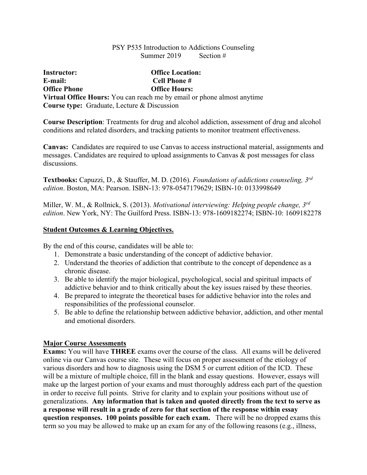### PSY P535 Introduction to Addictions Counseling Summer 2019 Section #

**Instructor: Office Location: E-mail: Cell Phone # Office Phone Office Hours: Virtual Office Hours:** You can reach me by email or phone almost anytime **Course type:** Graduate, Lecture & Discussion

**Course Description**: Treatments for drug and alcohol addiction, assessment of drug and alcohol conditions and related disorders, and tracking patients to monitor treatment effectiveness.

**Canvas:** Candidates are required to use Canvas to access instructional material, assignments and messages. Candidates are required to upload assignments to Canvas & post messages for class discussions.

**Textbooks:** Capuzzi, D., & Stauffer, M. D. (2016). *Foundations of addictions counseling, 3rd edition*. Boston, MA: Pearson. ISBN-13: 978-0547179629; ISBN-10: 0133998649

Miller, W. M., & Rollnick, S. (2013). *Motivational interviewing: Helping people change, 3rd edition*. New York, NY: The Guilford Press. ISBN-13: 978-1609182274; ISBN-10: 1609182278

## **Student Outcomes & Learning Objectives.**

By the end of this course, candidates will be able to:

- 1. Demonstrate a basic understanding of the concept of addictive behavior.
- 2. Understand the theories of addiction that contribute to the concept of dependence as a chronic disease.
- 3. Be able to identify the major biological, psychological, social and spiritual impacts of addictive behavior and to think critically about the key issues raised by these theories.
- 4. Be prepared to integrate the theoretical bases for addictive behavior into the roles and responsibilities of the professional counselor.
- 5. Be able to define the relationship between addictive behavior, addiction, and other mental and emotional disorders.

# **Major Course Assessments**

**Exams:** You will have **THREE** exams over the course of the class. All exams will be delivered online via our Canvas course site. These will focus on proper assessment of the etiology of various disorders and how to diagnosis using the DSM 5 or current edition of the ICD. These will be a mixture of multiple choice, fill in the blank and essay questions. However, essays will make up the largest portion of your exams and must thoroughly address each part of the question in order to receive full points. Strive for clarity and to explain your positions without use of generalizations. **Any information that is taken and quoted directly from the text to serve as a response will result in a grade of zero for that section of the response within essay question responses. 100 points possible for each exam.** There will be no dropped exams this term so you may be allowed to make up an exam for any of the following reasons (e.g., illness,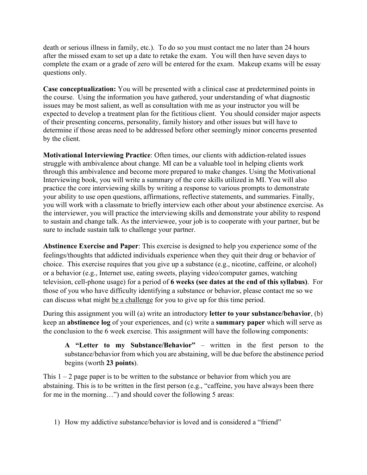death or serious illness in family, etc.). To do so you must contact me no later than 24 hours after the missed exam to set up a date to retake the exam. You will then have seven days to complete the exam or a grade of zero will be entered for the exam. Makeup exams will be essay questions only.

**Case conceptualization:** You will be presented with a clinical case at predetermined points in the course. Using the information you have gathered, your understanding of what diagnostic issues may be most salient, as well as consultation with me as your instructor you will be expected to develop a treatment plan for the fictitious client. You should consider major aspects of their presenting concerns, personality, family history and other issues but will have to determine if those areas need to be addressed before other seemingly minor concerns presented by the client.

**Motivational Interviewing Practice**: Often times, our clients with addiction-related issues struggle with ambivalence about change. MI can be a valuable tool in helping clients work through this ambivalence and become more prepared to make changes. Using the Motivational Interviewing book, you will write a summary of the core skills utilized in MI. You will also practice the core interviewing skills by writing a response to various prompts to demonstrate your ability to use open questions, affirmations, reflective statements, and summaries. Finally, you will work with a classmate to briefly interview each other about your abstinence exercise. As the interviewer, you will practice the interviewing skills and demonstrate your ability to respond to sustain and change talk. As the interviewee, your job is to cooperate with your partner, but be sure to include sustain talk to challenge your partner.

**Abstinence Exercise and Paper**: This exercise is designed to help you experience some of the feelings/thoughts that addicted individuals experience when they quit their drug or behavior of choice. This exercise requires that you give up a substance (e.g., nicotine, caffeine, or alcohol) or a behavior (e.g., Internet use, eating sweets, playing video/computer games, watching television, cell-phone usage) for a period of **6 weeks (see dates at the end of this syllabus)**. For those of you who have difficulty identifying a substance or behavior, please contact me so we can discuss what might be a challenge for you to give up for this time period.

During this assignment you will (a) write an introductory **letter to your substance/behavior**, (b) keep an **abstinence log** of your experiences, and (c) write a **summary paper** which will serve as the conclusion to the 6 week exercise. This assignment will have the following components:

**A "Letter to my Substance/Behavior"** – written in the first person to the substance/behavior from which you are abstaining, will be due before the abstinence period begins (worth **23 points**).

This  $1 - 2$  page paper is to be written to the substance or behavior from which you are abstaining. This is to be written in the first person (e.g., "caffeine, you have always been there for me in the morning…") and should cover the following 5 areas:

1) How my addictive substance/behavior is loved and is considered a "friend"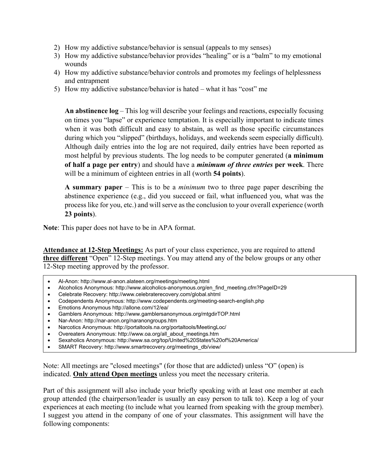- 2) How my addictive substance/behavior is sensual (appeals to my senses)
- 3) How my addictive substance/behavior provides "healing" or is a "balm" to my emotional wounds
- 4) How my addictive substance/behavior controls and promotes my feelings of helplessness and entrapment
- 5) How my addictive substance/behavior is hated what it has "cost" me

**An abstinence log** – This log will describe your feelings and reactions, especially focusing on times you "lapse" or experience temptation. It is especially important to indicate times when it was both difficult and easy to abstain, as well as those specific circumstances during which you "slipped" (birthdays, holidays, and weekends seem especially difficult). Although daily entries into the log are not required, daily entries have been reported as most helpful by previous students. The log needs to be computer generated (**a minimum of half a page per entry**) and should have a *minimum of three entries* **per week**. There will be a minimum of eighteen entries in all (worth **54 points**).

**A summary paper** – This is to be a *minimum* two to three page paper describing the abstinence experience (e.g., did you succeed or fail, what influenced you, what was the process like for you, etc.) and will serve as the conclusion to your overall experience (worth **23 points**).

**Note**: This paper does not have to be in APA format.

**Attendance at 12-Step Meetings:** As part of your class experience, you are required to attend **three different** "Open" 12-Step meetings. You may attend any of the below groups or any other 12-Step meeting approved by the professor.

- Al-Anon: http://www.al-anon.alateen.org/meetings/meeting.html
- Alcoholics Anonymous: http://www.alcoholics-anonymous.org/en\_find\_meeting.cfm?PageID=29
- Celebrate Recovery: http://www.celebraterecovery.com/global.shtml
- Codependents Anonymous: http://www.codependents.org/meeting-search-english.php
- Emotions Anonymous http://allone.com/12/ea/
- Gamblers Anonymous: http://www.gamblersanonymous.org/mtgdirTOP.html
- Nar-Anon: http://nar-anon.org/naranongroups.htm
- Narcotics Anonymous: http://portaltools.na.org/portaltools/MeetingLoc/
- Overeaters Anonymous: http://www.oa.org/all\_about\_meetings.htm
- Sexaholics Anonymous: http://www.sa.org/top/United%20States%20of%20America/
- SMART Recovery: http://www.smartrecovery.org/meetings\_db/view/

Note: All meetings are "closed meetings" (for those that are addicted) unless "O" (open) is indicated. **Only attend Open meetings** unless you meet the necessary criteria.

Part of this assignment will also include your briefly speaking with at least one member at each group attended (the chairperson/leader is usually an easy person to talk to). Keep a log of your experiences at each meeting (to include what you learned from speaking with the group member). I suggest you attend in the company of one of your classmates. This assignment will have the following components: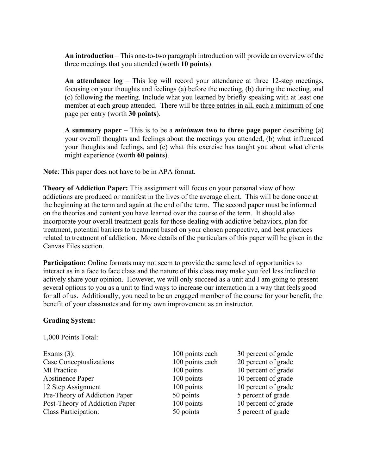**An introduction** – This one-to-two paragraph introduction will provide an overview of the three meetings that you attended (worth **10 points**).

**An attendance log** – This log will record your attendance at three 12-step meetings, focusing on your thoughts and feelings (a) before the meeting, (b) during the meeting, and (c) following the meeting. Include what you learned by briefly speaking with at least one member at each group attended. There will be three entries in all, each a minimum of one page per entry (worth **30 points**).

**A summary paper** – This is to be a *minimum* **two to three page paper** describing (a) your overall thoughts and feelings about the meetings you attended, (b) what influenced your thoughts and feelings, and (c) what this exercise has taught you about what clients might experience (worth **60 points**).

**Note**: This paper does not have to be in APA format.

**Theory of Addiction Paper:** This assignment will focus on your personal view of how addictions are produced or manifest in the lives of the average client. This will be done once at the beginning at the term and again at the end of the term. The second paper must be informed on the theories and content you have learned over the course of the term. It should also incorporate your overall treatment goals for those dealing with addictive behaviors, plan for treatment, potential barriers to treatment based on your chosen perspective, and best practices related to treatment of addiction. More details of the particulars of this paper will be given in the Canvas Files section.

**Participation:** Online formats may not seem to provide the same level of opportunities to interact as in a face to face class and the nature of this class may make you feel less inclined to actively share your opinion. However, we will only succeed as a unit and I am going to present several options to you as a unit to find ways to increase our interaction in a way that feels good for all of us. Additionally, you need to be an engaged member of the course for your benefit, the benefit of your classmates and for my own improvement as an instructor.

#### **Grading System:**

1,000 Points Total:

Exams (3): 100 points each 30 percent of grade Case Conceptualizations 100 points each 20 percent of grade MI Practice 100 points 10 percent of grade<br>Abstinence Paper 100 points 10 percent of grade Abstinence Paper 100 points 10 percent of grade 12 Step Assignment 100 points 10 percent of grade Pre-Theory of Addiction Paper 50 points 50 points 5 percent of grade Post-Theory of Addiction Paper 100 points 10 percent of grade Class Participation: 50 points 5 percent of grade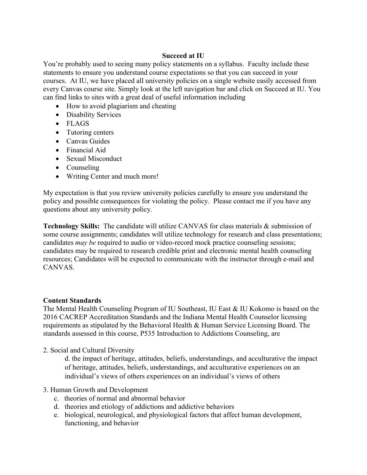## **Succeed at IU**

You're probably used to seeing many policy statements on a syllabus. Faculty include these statements to ensure you understand course expectations so that you can succeed in your courses. At IU, we have placed all university policies on a single website easily accessed from every Canvas course site. Simply look at the left navigation bar and click on Succeed at IU. You can find links to sites with a great deal of useful information including

- How to avoid plagiarism and cheating
- Disability Services
- FLAGS
- Tutoring centers
- Canvas Guides
- Financial Aid
- Sexual Misconduct
- Counseling
- Writing Center and much more!

My expectation is that you review university policies carefully to ensure you understand the policy and possible consequences for violating the policy. Please contact me if you have any questions about any university policy.

**Technology Skills:** The candidate will utilize CANVAS for class materials & submission of some course assignments; candidates will utilize technology for research and class presentations; candidates *may be* required to audio or video-record mock practice counseling sessions; candidates may be required to research credible print and electronic mental health counseling resources; Candidates will be expected to communicate with the instructor through e-mail and CANVAS.

#### **Content Standards**

The Mental Health Counseling Program of IU Southeast, IU East & IU Kokomo is based on the 2016 CACREP Accreditation Standards and the Indiana Mental Health Counselor licensing requirements as stipulated by the Behavioral Health & Human Service Licensing Board. The standards assessed in this course, P535 Introduction to Addictions Counseling, are

2. Social and Cultural Diversity

d. the impact of heritage, attitudes, beliefs, understandings, and acculturative the impact of heritage, attitudes, beliefs, understandings, and acculturative experiences on an individual's views of others experiences on an individual's views of others

#### 3. Human Growth and Development

- c. theories of normal and abnormal behavior
- d. theories and etiology of addictions and addictive behaviors
- e. biological, neurological, and physiological factors that affect human development, functioning, and behavior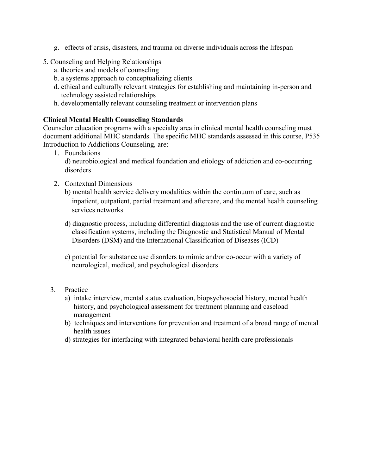- g. effects of crisis, disasters, and trauma on diverse individuals across the lifespan
- 5. Counseling and Helping Relationships
	- a. theories and models of counseling
	- b. a systems approach to conceptualizing clients
	- d. ethical and culturally relevant strategies for establishing and maintaining in-person and technology assisted relationships
	- h. developmentally relevant counseling treatment or intervention plans

# **Clinical Mental Health Counseling Standards**

Counselor education programs with a specialty area in clinical mental health counseling must document additional MHC standards. The specific MHC standards assessed in this course, P535 Introduction to Addictions Counseling, are:

1. Foundations

d) neurobiological and medical foundation and etiology of addiction and co-occurring disorders

2. Contextual Dimensions

b) mental health service delivery modalities within the continuum of care, such as inpatient, outpatient, partial treatment and aftercare, and the mental health counseling services networks

- d) diagnostic process, including differential diagnosis and the use of current diagnostic classification systems, including the Diagnostic and Statistical Manual of Mental Disorders (DSM) and the International Classification of Diseases (ICD)
- e) potential for substance use disorders to mimic and/or co-occur with a variety of neurological, medical, and psychological disorders

# 3. Practice

- a) intake interview, mental status evaluation, biopsychosocial history, mental health history, and psychological assessment for treatment planning and caseload management
- b) techniques and interventions for prevention and treatment of a broad range of mental health issues
- d) strategies for interfacing with integrated behavioral health care professionals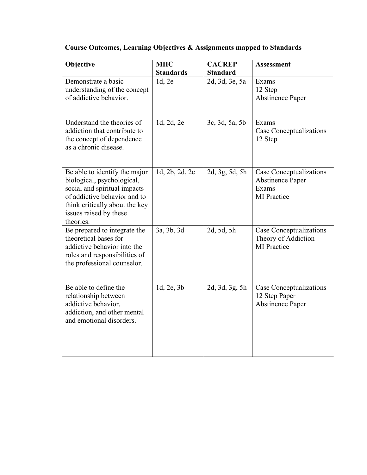| Objective                                                                                                                                                                                            | <b>MHC</b>       | <b>CACREP</b>   | Assessment                                                                        |
|------------------------------------------------------------------------------------------------------------------------------------------------------------------------------------------------------|------------------|-----------------|-----------------------------------------------------------------------------------|
|                                                                                                                                                                                                      | <b>Standards</b> | <b>Standard</b> |                                                                                   |
| Demonstrate a basic<br>understanding of the concept<br>of addictive behavior.                                                                                                                        | 1d, 2e           | 2d, 3d, 3e, 5a  | Exams<br>12 Step<br><b>Abstinence Paper</b>                                       |
| Understand the theories of<br>addiction that contribute to<br>the concept of dependence<br>as a chronic disease.                                                                                     | 1d, 2d, 2e       | 3c, 3d, 5a, 5b  | Exams<br>Case Conceptualizations<br>12 Step                                       |
| Be able to identify the major<br>biological, psychological,<br>social and spiritual impacts<br>of addictive behavior and to<br>think critically about the key<br>issues raised by these<br>theories. | 1d, 2b, 2d, 2e   | 2d, 3g, 5d, 5h  | Case Conceptualizations<br><b>Abstinence Paper</b><br>Exams<br><b>MI</b> Practice |
| Be prepared to integrate the<br>theoretical bases for<br>addictive behavior into the<br>roles and responsibilities of<br>the professional counselor.                                                 | 3a, 3b, 3d       | 2d, 5d, 5h      | Case Conceptualizations<br>Theory of Addiction<br><b>MI</b> Practice              |
| Be able to define the<br>relationship between<br>addictive behavior,<br>addiction, and other mental<br>and emotional disorders.                                                                      | 1d, 2e, 3b       | 2d, 3d, 3g, 5h  | Case Conceptualizations<br>12 Step Paper<br><b>Abstinence Paper</b>               |

**Course Outcomes, Learning Objectives & Assignments mapped to Standards**